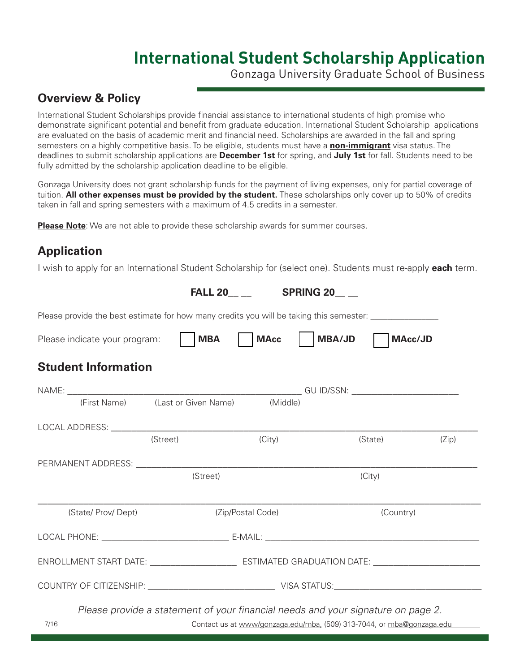# **International Student Scholarship Application**

Gonzaga University Graduate School of Business

### **Overview & Policy**

International Student Scholarships provide financial assistance to international students of high promise who demonstrate significant potential and benefit from graduate education. International Student Scholarship applications are evaluated on the basis of academic merit and financial need. Scholarships are awarded in the fall and spring semesters on a highly competitive basis. To be eligible, students must have a **non-immigrant** visa status. The deadlines to submit scholarship applications are **December 1st** for spring, and **July 1st** for fall. Students need to be fully admitted by the scholarship application deadline to be eligible.

Gonzaga University does not grant scholarship funds for the payment of living expenses, only for partial coverage of tuition. **All other expenses must be provided by the student.** These scholarships only cover up to 50% of credits taken in fall and spring semesters with a maximum of 4.5 credits in a semester.

**Please Note**: We are not able to provide these scholarship awards for summer courses.

## **Application**

I wish to apply for an International Student Scholarship for (select one). Students must re-apply **each** term.

|                                                                                                                                                                                                                                | <b>FALL 20</b>                                                                   |             | <b>SPRING 20</b> |           |       |
|--------------------------------------------------------------------------------------------------------------------------------------------------------------------------------------------------------------------------------|----------------------------------------------------------------------------------|-------------|------------------|-----------|-------|
| Please provide the best estimate for how many credits you will be taking this semester: ____________                                                                                                                           |                                                                                  |             |                  |           |       |
| Please indicate your program:                                                                                                                                                                                                  | <b>MBA</b>                                                                       | <b>MAcc</b> | MBA/JD           | MAcc/JD   |       |
| <b>Student Information</b>                                                                                                                                                                                                     |                                                                                  |             |                  |           |       |
|                                                                                                                                                                                                                                |                                                                                  |             |                  |           |       |
|                                                                                                                                                                                                                                | (First Name) (Last or Given Name) (Middle)                                       |             |                  |           |       |
| LOCAL ADDRESS: University of the contract of the contract of the contract of the contract of the contract of the contract of the contract of the contract of the contract of the contract of the contract of the contract of t |                                                                                  |             |                  |           |       |
|                                                                                                                                                                                                                                | (Street)                                                                         | (City)      |                  | (State)   | (Zip) |
| PERMANENT ADDRESS: University of PERMANENT ADDRESS:                                                                                                                                                                            |                                                                                  |             |                  |           |       |
|                                                                                                                                                                                                                                | (Street)                                                                         |             |                  | (City)    |       |
| (State/ Prov/ Dept)                                                                                                                                                                                                            | (Zip/Postal Code)                                                                |             |                  | (Country) |       |
|                                                                                                                                                                                                                                |                                                                                  |             |                  |           |       |
| ENROLLMENT START DATE: ___________________________________ ESTIMATED GRADUATION DATE: ________________________                                                                                                                 |                                                                                  |             |                  |           |       |
|                                                                                                                                                                                                                                |                                                                                  |             |                  |           |       |
|                                                                                                                                                                                                                                | Please provide a statement of your financial needs and your signature on page 2. |             |                  |           |       |
| 7/16                                                                                                                                                                                                                           | Contact us at www/gonzaga.edu/mba, (509) 313-7044, or mba@gonzaga.edu            |             |                  |           |       |